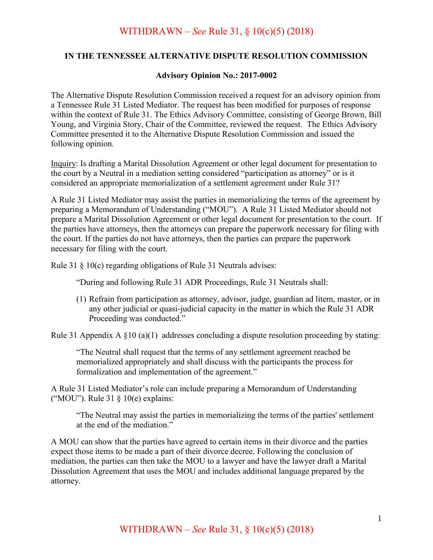## WITHDRAWN – *See* Rule 31, § 10(c)(5) (2018)

## **IN THE TENNESSEE ALTERNATIVE DISPUTE RESOLUTION COMMISSION**

## **Advisory Opinion No.: 2017-0002**

The Alternative Dispute Resolution Commission received a request for an advisory opinion from a Tennessee Rule 31 Listed Mediator. The request has been modified for purposes of response within the context of Rule 31. The Ethics Advisory Committee, consisting of George Brown, Bill Young, and Virginia Story, Chair of the Committee, reviewed the request. The Ethics Advisory Committee presented it to the Alternative Dispute Resolution Commission and issued the following opinion.

Inquiry: Is drafting a Marital Dissolution Agreement or other legal document for presentation to the court by a Neutral in a mediation setting considered "participation as attorney" or is it considered an appropriate memorialization of a settlement agreement under Rule 31?

A Rule 31 Listed Mediator may assist the parties in memorializing the terms of the agreement by preparing a Memorandum of Understanding ("MOU"). A Rule 31 Listed Mediator should not prepare a Marital Dissolution Agreement or other legal document for presentation to the court. If the parties have attorneys, then the attorneys can prepare the paperwork necessary for filing with the court. If the parties do not have attorneys, then the parties can prepare the paperwork necessary for filing with the court.

Rule 31 § 10(c) regarding obligations of Rule 31 Neutrals advises:

"During and following Rule 31 ADR Proceedings, Rule 31 Neutrals shall:

(1) Refrain from participation as attorney, advisor, judge, guardian ad litem, master, or in any other judicial or quasi-judicial capacity in the matter in which the Rule 31 ADR Proceeding was conducted."

Rule 31 Appendix A  $\S$ 10 (a)(1) addresses concluding a dispute resolution proceeding by stating:

"The Neutral shall request that the terms of any settlement agreement reached be memorialized appropriately and shall discuss with the participants the process for formalization and implementation of the agreement."

A Rule 31 Listed Mediator's role can include preparing a Memorandum of Understanding ("MOU"). Rule 31 § 10(e) explains:

"The Neutral may assist the parties in memorializing the terms of the parties' settlement at the end of the mediation."

A MOU can show that the parties have agreed to certain items in their divorce and the parties expect those items to be made a part of their divorce decree. Following the conclusion of mediation, the parties can then take the MOU to a lawyer and have the lawyer draft a Marital Dissolution Agreement that uses the MOU and includes additional language prepared by the attorney.